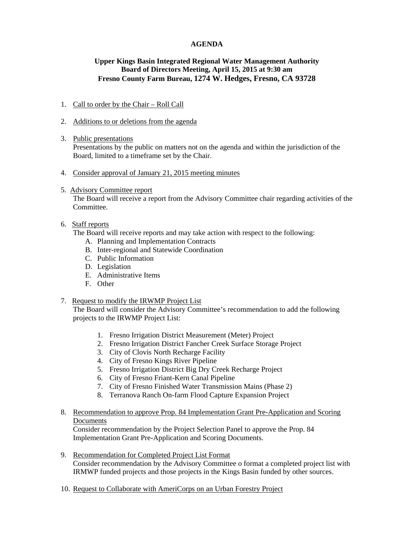## **AGENDA**

# **Upper Kings Basin Integrated Regional Water Management Authority Board of Directors Meeting, April 15, 2015 at 9:30 am Fresno County Farm Bureau, 1274 W. Hedges, Fresno, CA 93728**

### 1. Call to order by the Chair – Roll Call

#### 2. Additions to or deletions from the agenda

- 3. Public presentations Presentations by the public on matters not on the agenda and within the jurisdiction of the Board, limited to a timeframe set by the Chair.
- 4. Consider approval of January 21, 2015 meeting minutes
- 5. Advisory Committee report

The Board will receive a report from the Advisory Committee chair regarding activities of the Committee.

## 6. Staff reports

The Board will receive reports and may take action with respect to the following:

- A. Planning and Implementation Contracts
- B. Inter-regional and Statewide Coordination
- C. Public Information
- D. Legislation
- E. Administrative Items
- F. Other

### 7. Request to modify the IRWMP Project List

The Board will consider the Advisory Committee's recommendation to add the following projects to the IRWMP Project List:

- 1. Fresno Irrigation District Measurement (Meter) Project
- 2. Fresno Irrigation District Fancher Creek Surface Storage Project
- 3. City of Clovis North Recharge Facility
- 4. City of Fresno Kings River Pipeline
- 5. Fresno Irrigation District Big Dry Creek Recharge Project
- 6. City of Fresno Friant-Kern Canal Pipeline
- 7. City of Fresno Finished Water Transmission Mains (Phase 2)
- 8. Terranova Ranch On-farm Flood Capture Expansion Project

## 8. Recommendation to approve Prop. 84 Implementation Grant Pre-Application and Scoring Documents

Consider recommendation by the Project Selection Panel to approve the Prop. 84 Implementation Grant Pre-Application and Scoring Documents.

- 9. Recommendation for Completed Project List Format Consider recommendation by the Advisory Committee o format a completed project list with IRMWP funded projects and those projects in the Kings Basin funded by other sources.
- 10. Request to Collaborate with AmeriCorps on an Urban Forestry Project